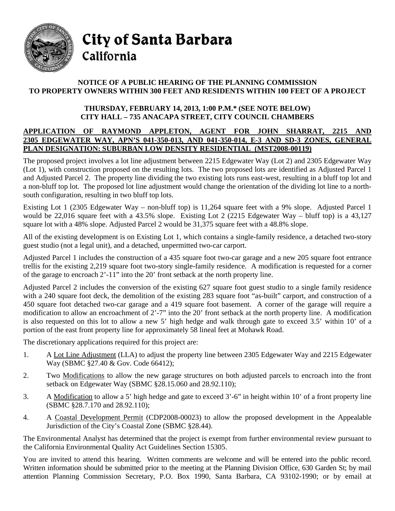

City of Santa Barbara California

## **NOTICE OF A PUBLIC HEARING OF THE PLANNING COMMISSION TO PROPERTY OWNERS WITHIN 300 FEET AND RESIDENTS WITHIN 100 FEET OF A PROJECT**

## **THURSDAY, FEBRUARY 14, 2013, 1:00 P.M.\* (SEE NOTE BELOW) CITY HALL – 735 ANACAPA STREET, CITY COUNCIL CHAMBERS**

## **APPLICATION OF RAYMOND APPLETON, AGENT FOR JOHN SHARRAT, 2215 AND 2305 EDGEWATER WAY, APN'S 041-350-013, AND 041-350-014, E-3 AND SD-3 ZONES, GENERAL PLAN DESIGNATION: SUBURBAN LOW DENSITY RESIDENTIAL (MST2008-00119)**

The proposed project involves a lot line adjustment between 2215 Edgewater Way (Lot 2) and 2305 Edgewater Way (Lot 1), with construction proposed on the resulting lots. The two proposed lots are identified as Adjusted Parcel 1 and Adjusted Parcel 2. The property line dividing the two existing lots runs east-west, resulting in a bluff top lot and a non-bluff top lot. The proposed lot line adjustment would change the orientation of the dividing lot line to a northsouth configuration, resulting in two bluff top lots.

Existing Lot 1 (2305 Edgewater Way – non-bluff top) is 11,264 square feet with a 9% slope. Adjusted Parcel 1 would be 22,016 square feet with a 43.5% slope. Existing Lot 2 (2215 Edgewater Way – bluff top) is a 43,127 square lot with a 48% slope. Adjusted Parcel 2 would be 31,375 square feet with a 48.8% slope.

All of the existing development is on Existing Lot 1, which contains a single-family residence, a detached two-story guest studio (not a legal unit), and a detached, unpermitted two-car carport.

Adjusted Parcel 1 includes the construction of a 435 square foot two-car garage and a new 205 square foot entrance trellis for the existing 2,219 square foot two-story single-family residence. A modification is requested for a corner of the garage to encroach 2'-11" into the 20' front setback at the north property line.

Adjusted Parcel 2 includes the conversion of the existing 627 square foot guest studio to a single family residence with a 240 square foot deck, the demolition of the existing 283 square foot "as-built" carport, and construction of a 450 square foot detached two-car garage and a 419 square foot basement. A corner of the garage will require a modification to allow an encroachment of 2'-7" into the 20' front setback at the north property line. A modification is also requested on this lot to allow a new 5' high hedge and walk through gate to exceed 3.5' within 10' of a portion of the east front property line for approximately 58 lineal feet at Mohawk Road.

The discretionary applications required for this project are:

- 1. A Lot Line Adjustment (LLA) to adjust the property line between 2305 Edgewater Way and 2215 Edgewater Way (SBMC §27.40 & Gov. Code 66412);
- 2. Two Modifications to allow the new garage structures on both adjusted parcels to encroach into the front setback on Edgewater Way (SBMC §28.15.060 and 28.92.110);
- 3. A Modification to allow a 5' high hedge and gate to exceed 3'-6" in height within 10' of a front property line (SBMC §28.7.170 and 28.92.110);
- 4. A Coastal Development Permit (CDP2008-00023) to allow the proposed development in the Appealable Jurisdiction of the City's Coastal Zone (SBMC §28.44).

The Environmental Analyst has determined that the project is exempt from further environmental review pursuant to the California Environmental Quality Act Guidelines Section 15305.

You are invited to attend this hearing. Written comments are welcome and will be entered into the public record. Written information should be submitted prior to the meeting at the Planning Division Office, 630 Garden St; by mail attention Planning Commission Secretary, P.O. Box 1990, Santa Barbara, CA 93102-1990; or by email at